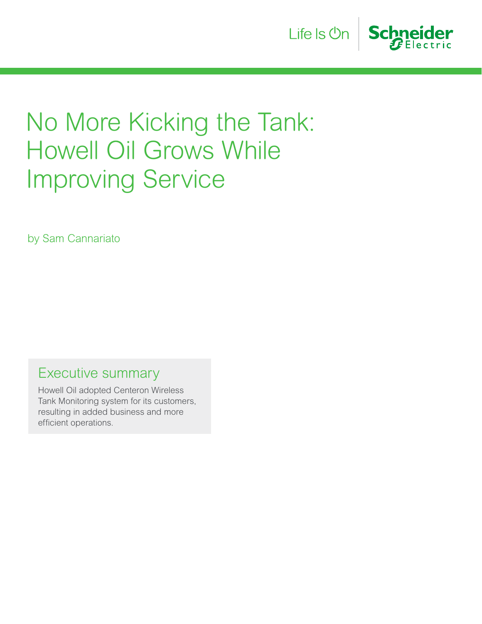

# No More Kicking the Tank: Howell Oil Grows While Improving Service

by Sam Cannariato

Executive summary

Howell Oil adopted Centeron Wireless Tank Monitoring system for its customers, resulting in added business and more efficient operations.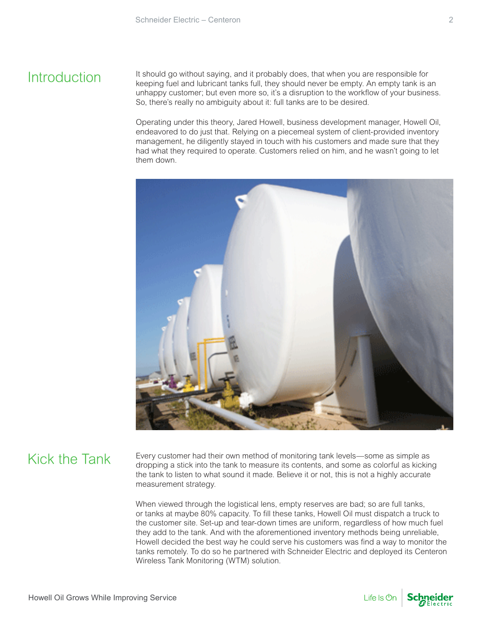## **Introduction**

It should go without saying, and it probably does, that when you are responsible for keeping fuel and lubricant tanks full, they should never be empty. An empty tank is an unhappy customer; but even more so, it's a disruption to the workflow of your business. So, there's really no ambiguity about it: full tanks are to be desired.

Operating under this theory, Jared Howell, business development manager, Howell Oil, endeavored to do just that. Relying on a piecemeal system of client-provided inventory management, he diligently stayed in touch with his customers and made sure that they had what they required to operate. Customers relied on him, and he wasn't going to let them down.



# Kick the Tank

Every customer had their own method of monitoring tank levels—some as simple as dropping a stick into the tank to measure its contents, and some as colorful as kicking the tank to listen to what sound it made. Believe it or not, this is not a highly accurate measurement strategy.

When viewed through the logistical lens, empty reserves are bad; so are full tanks, or tanks at maybe 80% capacity. To fill these tanks, Howell Oil must dispatch a truck to the customer site. Set-up and tear-down times are uniform, regardless of how much fuel they add to the tank. And with the aforementioned inventory methods being unreliable, Howell decided the best way he could serve his customers was find a way to monitor the tanks remotely. To do so he partnered with Schneider Electric and deployed its Centeron Wireless Tank Monitoring (WTM) solution.



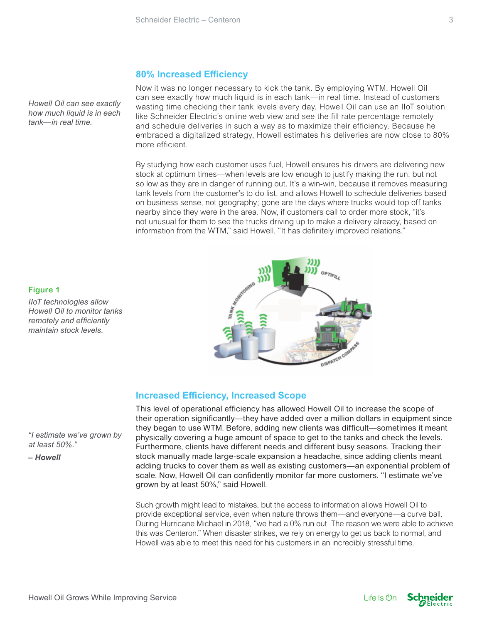## **80% Increased Efficiency**

Now it was no longer necessary to kick the tank. By employing WTM, Howell Oil can see exactly how much liquid is in each tank—in real time. Instead of customers wasting time checking their tank levels every day, Howell Oil can use an IIoT solution like Schneider Electric's online web view and see the fill rate percentage remotely and schedule deliveries in such a way as to maximize their efficiency. Because he embraced a digitalized strategy, Howell estimates his deliveries are now close to 80% more efficient.

By studying how each customer uses fuel, Howell ensures his drivers are delivering new stock at optimum times—when levels are low enough to justify making the run, but not so low as they are in danger of running out. It's a win-win, because it removes measuring tank levels from the customer's to do list, and allows Howell to schedule deliveries based on business sense, not geography; gone are the days where trucks would top off tanks nearby since they were in the area. Now, if customers call to order more stock, "it's not unusual for them to see the trucks driving up to make a delivery already, based on information from the WTM," said Howell. "It has definitely improved relations."



This level of operational efficiency has allowed Howell Oil to increase the scope of their operation significantly—they have added over a million dollars in equipment since they began to use WTM. Before, adding new clients was difficult—sometimes it meant physically covering a huge amount of space to get to the tanks and check the levels. Furthermore, clients have different needs and different busy seasons. Tracking their stock manually made large-scale expansion a headache, since adding clients meant adding trucks to cover them as well as existing customers—an exponential problem of scale. Now, Howell Oil can confidently monitor far more customers. "I estimate we've grown by at least 50%," said Howell.

Such growth might lead to mistakes, but the access to information allows Howell Oil to provide exceptional service, even when nature throws them—and everyone—a curve ball. During Hurricane Michael in 2018, "we had a 0% run out. The reason we were able to achieve this was Centeron." When disaster strikes, we rely on energy to get us back to normal, and Howell was able to meet this need for his customers in an incredibly stressful time.

*Howell Oil can see exactly how much liquid is in each tank—in real time.*

### **Figure 1**

*IIoT technologies allow Howell Oil to monitor tanks remotely and efficiently maintain stock levels.*

*"I estimate we've grown by at least 50%."*

*– Howell*



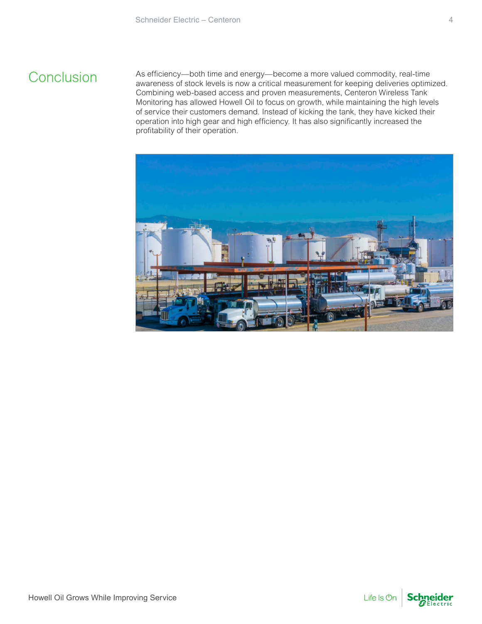## **Conclusion**

As efficiency—both time and energy—become a more valued commodity, real-time awareness of stock levels is now a critical measurement for keeping deliveries optimized. Combining web-based access and proven measurements, Centeron Wireless Tank Monitoring has allowed Howell Oil to focus on growth, while maintaining the high levels of service their customers demand. Instead of kicking the tank, they have kicked their operation into high gear and high efficiency. It has also significantly increased the profitability of their operation.